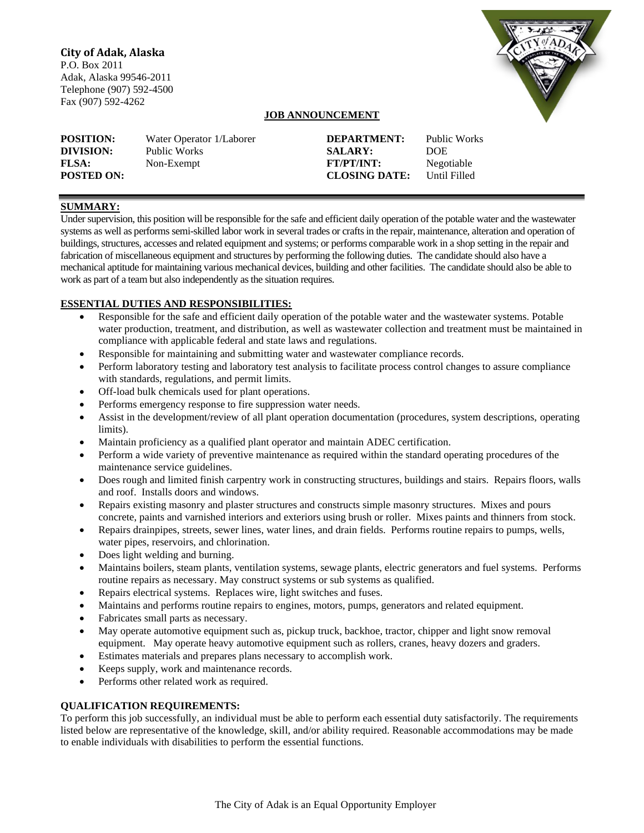# **City of Adak, Alaska**

P.O. Box 2011 Adak, Alaska 99546-2011 Telephone (907) 592-4500 Fax (907) 592-4262



# **JOB ANNOUNCEMENT**

| <b>POSITION:</b>                               | Water Operator 1/Laborer   | <b>DEPARTMENT:</b>                                          | Public Works                       |
|------------------------------------------------|----------------------------|-------------------------------------------------------------|------------------------------------|
| DIVISION:<br><b>FLSA:</b><br><b>POSTED ON:</b> | Public Works<br>Non-Exempt | <b>SALARY:</b><br><b>FT/PT/INT:</b><br><b>CLOSING DATE:</b> | DOE.<br>Negotiable<br>Until Filled |

# **SUMMARY:**

Under supervision, this position will be responsible for the safe and efficient daily operation of the potable water and the wastewater systems as well as performs semi-skilled labor work in several trades or crafts in the repair, maintenance, alteration and operation of buildings, structures, accesses and related equipment and systems; or performs comparable work in a shop setting in the repair and fabrication of miscellaneous equipment and structures by performing the following duties. The candidate should also have a mechanical aptitude for maintaining various mechanical devices, building and other facilities. The candidate should also be able to work as part of a team but also independently as the situation requires.

# **ESSENTIAL DUTIES AND RESPONSIBILITIES:**

- Responsible for the safe and efficient daily operation of the potable water and the wastewater systems. Potable water production, treatment, and distribution, as well as wastewater collection and treatment must be maintained in compliance with applicable federal and state laws and regulations.
- Responsible for maintaining and submitting water and wastewater compliance records.
- Perform laboratory testing and laboratory test analysis to facilitate process control changes to assure compliance with standards, regulations, and permit limits.
- Off-load bulk chemicals used for plant operations.
- Performs emergency response to fire suppression water needs.
- Assist in the development/review of all plant operation documentation (procedures, system descriptions, operating limits).
- Maintain proficiency as a qualified plant operator and maintain ADEC certification.
- Perform a wide variety of preventive maintenance as required within the standard operating procedures of the maintenance service guidelines.
- Does rough and limited finish carpentry work in constructing structures, buildings and stairs. Repairs floors, walls and roof. Installs doors and windows.
- Repairs existing masonry and plaster structures and constructs simple masonry structures. Mixes and pours concrete, paints and varnished interiors and exteriors using brush or roller. Mixes paints and thinners from stock.
- Repairs drainpipes, streets, sewer lines, water lines, and drain fields. Performs routine repairs to pumps, wells, water pipes, reservoirs, and chlorination.
- Does light welding and burning.
- Maintains boilers, steam plants, ventilation systems, sewage plants, electric generators and fuel systems. Performs routine repairs as necessary. May construct systems or sub systems as qualified.
- Repairs electrical systems. Replaces wire, light switches and fuses.
- Maintains and performs routine repairs to engines, motors, pumps, generators and related equipment.
- Fabricates small parts as necessary.
- May operate automotive equipment such as, pickup truck, backhoe, tractor, chipper and light snow removal equipment. May operate heavy automotive equipment such as rollers, cranes, heavy dozers and graders.
- Estimates materials and prepares plans necessary to accomplish work.
- Keeps supply, work and maintenance records.
- Performs other related work as required.

# **QUALIFICATION REQUIREMENTS:**

To perform this job successfully, an individual must be able to perform each essential duty satisfactorily. The requirements listed below are representative of the knowledge, skill, and/or ability required. Reasonable accommodations may be made to enable individuals with disabilities to perform the essential functions.